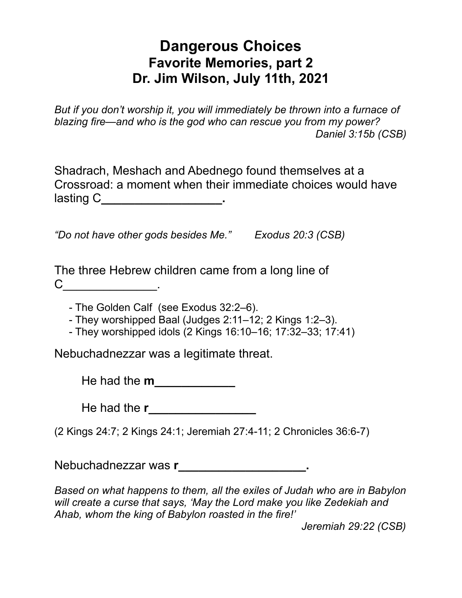## **Dangerous Choices Favorite Memories, part 2 Dr. Jim Wilson, July 11th, 2021**

*But if you don't worship it, you will immediately be thrown into a furnace of blazing fire—and who is the god who can rescue you from my power? Daniel 3:15b (CSB)* 

Shadrach, Meshach and Abednego found themselves at a Crossroad: a moment when their immediate choices would have lasting C**\_\_\_\_\_\_\_\_\_\_\_\_\_\_\_\_\_\_.**

*"Do not have other gods besides Me." Exodus 20:3 (CSB)*

The three Hebrew children came from a long line of  $C$   $\qquad \qquad \qquad$ 

- The Golden Calf (see Exodus 32:2–6).

- They worshipped Baal (Judges 2:11–12; 2 Kings 1:2–3).

- They worshipped idols (2 Kings 16:10–16; 17:32–33; 17:41)

Nebuchadnezzar was a legitimate threat.

He had the **m** 

He had the **r\_\_\_\_\_\_\_\_\_\_\_\_\_\_\_** 

(2 Kings 24:7; 2 Kings 24:1; Jeremiah 27:4-11; 2 Chronicles 36:6-7)

Nebuchadnezzar was **r\_\_\_\_\_\_\_\_\_\_\_\_\_\_\_\_\_\_\_.**

*Based on what happens to them, all the exiles of Judah who are in Babylon will create a curse that says, 'May the Lord make you like Zedekiah and Ahab, whom the king of Babylon roasted in the fire!'* 

 *Jeremiah 29:22 (CSB)*